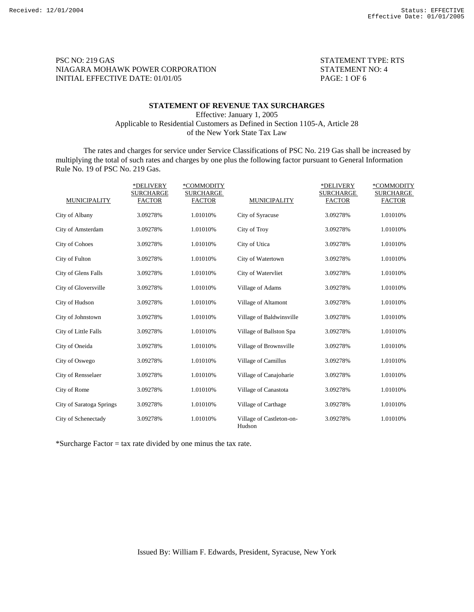PSC NO: 219 GAS STATEMENT TYPE: RTS NIAGARA MOHAWK POWER CORPORATION STATEMENT NO: 4 INITIAL EFFECTIVE DATE: 01/01/05 PAGE: 1 OF 6

## **STATEMENT OF REVENUE TAX SURCHARGES**

Effective: January 1, 2005 Applicable to Residential Customers as Defined in Section 1105-A, Article 28 of the New York State Tax Law

 The rates and charges for service under Service Classifications of PSC No. 219 Gas shall be increased by multiplying the total of such rates and charges by one plus the following factor pursuant to General Information Rule No. 19 of PSC No. 219 Gas.

|                          | *DELIVERY<br><b>SURCHARGE</b> | *COMMODITY<br><b>SURCHARGE</b> |                                    | *DELIVERY<br><b>SURCHARGE</b> | *COMMODITY<br><b>SURCHARGE</b> |
|--------------------------|-------------------------------|--------------------------------|------------------------------------|-------------------------------|--------------------------------|
| <b>MUNICIPALITY</b>      | <b>FACTOR</b>                 | <b>FACTOR</b>                  | <b>MUNICIPALITY</b>                | <b>FACTOR</b>                 | <b>FACTOR</b>                  |
| City of Albany           | 3.09278%                      | 1.01010%                       | City of Syracuse                   | 3.09278%                      | 1.01010%                       |
| City of Amsterdam        | 3.09278%                      | 1.01010%                       | City of Troy                       | 3.09278%                      | 1.01010%                       |
| <b>City of Cohoes</b>    | 3.09278%                      | 1.01010%                       | City of Utica                      | 3.09278%                      | 1.01010%                       |
| City of Fulton           | 3.09278%                      | 1.01010%                       | City of Watertown                  | 3.09278%                      | 1.01010%                       |
| City of Glens Falls      | 3.09278%                      | 1.01010%                       | City of Watervliet                 | 3.09278%                      | 1.01010%                       |
| City of Gloversville     | 3.09278%                      | 1.01010%                       | Village of Adams                   | 3.09278%                      | 1.01010%                       |
| City of Hudson           | 3.09278%                      | 1.01010%                       | Village of Altamont                | 3.09278%                      | 1.01010%                       |
| City of Johnstown        | 3.09278%                      | 1.01010%                       | Village of Baldwinsville           | 3.09278%                      | 1.01010%                       |
| City of Little Falls     | 3.09278%                      | 1.01010%                       | Village of Ballston Spa            | 3.09278%                      | 1.01010%                       |
| City of Oneida           | 3.09278%                      | 1.01010%                       | Village of Brownsville             | 3.09278%                      | 1.01010%                       |
| City of Oswego           | 3.09278%                      | 1.01010%                       | Village of Camillus                | 3.09278%                      | 1.01010%                       |
| City of Rensselaer       | 3.09278%                      | 1.01010%                       | Village of Canajoharie             | 3.09278%                      | 1.01010%                       |
| City of Rome             | 3.09278%                      | 1.01010%                       | Village of Canastota               | 3.09278%                      | 1.01010%                       |
| City of Saratoga Springs | 3.09278%                      | 1.01010%                       | Village of Carthage                | 3.09278%                      | 1.01010%                       |
| City of Schenectady      | 3.09278%                      | 1.01010%                       | Village of Castleton-on-<br>Hudson | 3.09278%                      | 1.01010%                       |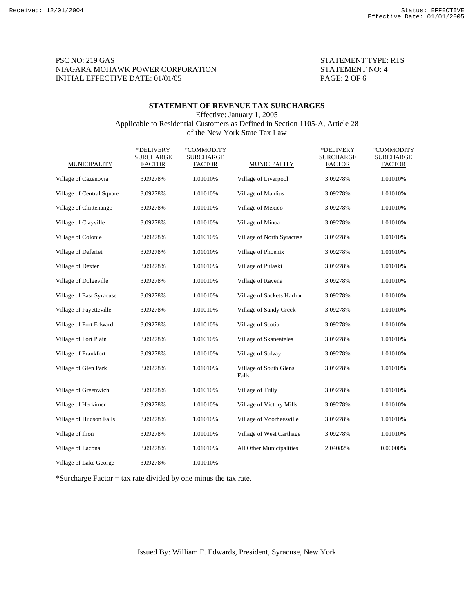# PSC NO: 219 GAS STATEMENT TYPE: RTS NIAGARA MOHAWK POWER CORPORATION STATEMENT NO: 4 INITIAL EFFECTIVE DATE: 01/01/05 PAGE: 2 OF 6

## **STATEMENT OF REVENUE TAX SURCHARGES**  Effective: January 1, 2005

Applicable to Residential Customers as Defined in Section 1105-A, Article 28 of the New York State Tax Law

|                           | *DELIVERY<br><b>SURCHARGE</b> | *COMMODITY<br><b>SURCHARGE</b> |                                 | *DELIVERY<br><b>SURCHARGE</b> | *COMMODITY<br><b>SURCHARGE</b> |
|---------------------------|-------------------------------|--------------------------------|---------------------------------|-------------------------------|--------------------------------|
| <b>MUNICIPALITY</b>       | <b>FACTOR</b>                 | <b>FACTOR</b>                  | <b>MUNICIPALITY</b>             | <b>FACTOR</b>                 | <b>FACTOR</b>                  |
| Village of Cazenovia      | 3.09278%                      | 1.01010%                       | Village of Liverpool            | 3.09278%                      | 1.01010%                       |
| Village of Central Square | 3.09278%                      | 1.01010%                       | Village of Manlius              | 3.09278%                      | 1.01010%                       |
| Village of Chittenango    | 3.09278%                      | 1.01010%                       | Village of Mexico               | 3.09278%                      | 1.01010%                       |
| Village of Clayville      | 3.09278%                      | 1.01010%                       | Village of Minoa                | 3.09278%                      | 1.01010%                       |
| Village of Colonie        | 3.09278%                      | 1.01010%                       | Village of North Syracuse       | 3.09278%                      | 1.01010%                       |
| Village of Deferiet       | 3.09278%                      | 1.01010%                       | Village of Phoenix              | 3.09278%                      | 1.01010%                       |
| Village of Dexter         | 3.09278%                      | 1.01010%                       | Village of Pulaski              | 3.09278%                      | 1.01010%                       |
| Village of Dolgeville     | 3.09278%                      | 1.01010%                       | Village of Ravena               | 3.09278%                      | 1.01010%                       |
| Village of East Syracuse  | 3.09278%                      | 1.01010%                       | Village of Sackets Harbor       | 3.09278%                      | 1.01010%                       |
| Village of Fayetteville   | 3.09278%                      | 1.01010%                       | Village of Sandy Creek          | 3.09278%                      | 1.01010%                       |
| Village of Fort Edward    | 3.09278%                      | 1.01010%                       | Village of Scotia               | 3.09278%                      | 1.01010%                       |
| Village of Fort Plain     | 3.09278%                      | 1.01010%                       | Village of Skaneateles          | 3.09278%                      | 1.01010%                       |
| Village of Frankfort      | 3.09278%                      | 1.01010%                       | Village of Solvay               | 3.09278%                      | 1.01010%                       |
| Village of Glen Park      | 3.09278%                      | 1.01010%                       | Village of South Glens<br>Falls | 3.09278%                      | 1.01010%                       |
| Village of Greenwich      | 3.09278%                      | 1.01010%                       | Village of Tully                | 3.09278%                      | 1.01010%                       |
| Village of Herkimer       | 3.09278%                      | 1.01010%                       | Village of Victory Mills        | 3.09278%                      | 1.01010%                       |
| Village of Hudson Falls   | 3.09278%                      | 1.01010%                       | Village of Voorheesville        | 3.09278%                      | 1.01010%                       |
| Village of Ilion          | 3.09278%                      | 1.01010%                       | Village of West Carthage        | 3.09278%                      | 1.01010%                       |
| Village of Lacona         | 3.09278%                      | 1.01010%                       | All Other Municipalities        | 2.04082%                      | 0.00000%                       |
| Village of Lake George    | 3.09278%                      | 1.01010%                       |                                 |                               |                                |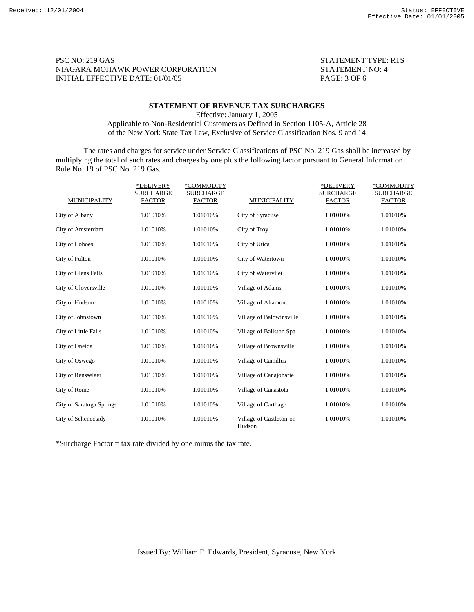PSC NO: 219 GAS STATEMENT TYPE: RTS NIAGARA MOHAWK POWER CORPORATION STATEMENT NO: 4 INITIAL EFFECTIVE DATE: 01/01/05 PAGE: 3 OF 6

### **STATEMENT OF REVENUE TAX SURCHARGES**

Effective: January 1, 2005

Applicable to Non-Residential Customers as Defined in Section 1105-A, Article 28 of the New York State Tax Law, Exclusive of Service Classification Nos. 9 and 14

 The rates and charges for service under Service Classifications of PSC No. 219 Gas shall be increased by multiplying the total of such rates and charges by one plus the following factor pursuant to General Information Rule No. 19 of PSC No. 219 Gas.

|                          | *DELIVERY<br><b>SURCHARGE</b> | *COMMODITY<br>SURCHARGE |                                    | *DELIVERY<br>SURCHARGE | *COMMODITY<br>SURCHARGE |
|--------------------------|-------------------------------|-------------------------|------------------------------------|------------------------|-------------------------|
| <b>MUNICIPALITY</b>      | <b>FACTOR</b>                 | <b>FACTOR</b>           | <b>MUNICIPALITY</b>                | <b>FACTOR</b>          | <b>FACTOR</b>           |
| City of Albany           | 1.01010%                      | 1.01010%                | City of Syracuse                   | 1.01010%               | 1.01010%                |
| City of Amsterdam        | 1.01010%                      | 1.01010%                | City of Troy                       | 1.01010%               | 1.01010%                |
| City of Cohoes           | 1.01010%                      | 1.01010%                | City of Utica                      | 1.01010%               | 1.01010%                |
| City of Fulton           | 1.01010%                      | 1.01010%                | City of Watertown                  | 1.01010%               | 1.01010%                |
| City of Glens Falls      | 1.01010%                      | 1.01010%                | City of Watervliet                 | 1.01010%               | 1.01010%                |
| City of Gloversville     | 1.01010%                      | 1.01010%                | Village of Adams                   | 1.01010%               | 1.01010%                |
| City of Hudson           | 1.01010%                      | 1.01010%                | Village of Altamont                | 1.01010%               | 1.01010%                |
| City of Johnstown        | 1.01010%                      | 1.01010%                | Village of Baldwinsville           | 1.01010%               | 1.01010%                |
| City of Little Falls     | 1.01010%                      | 1.01010%                | Village of Ballston Spa            | 1.01010%               | 1.01010%                |
| City of Oneida           | 1.01010%                      | 1.01010%                | Village of Brownsville             | 1.01010%               | 1.01010%                |
| City of Oswego           | 1.01010%                      | 1.01010%                | Village of Camillus                | 1.01010%               | 1.01010%                |
| City of Rensselaer       | 1.01010%                      | 1.01010%                | Village of Canajoharie             | 1.01010%               | 1.01010%                |
| City of Rome             | 1.01010%                      | 1.01010%                | Village of Canastota               | 1.01010%               | 1.01010%                |
| City of Saratoga Springs | 1.01010%                      | 1.01010%                | Village of Carthage                | 1.01010%               | 1.01010%                |
| City of Schenectady      | 1.01010%                      | 1.01010%                | Village of Castleton-on-<br>Hudson | 1.01010%               | 1.01010%                |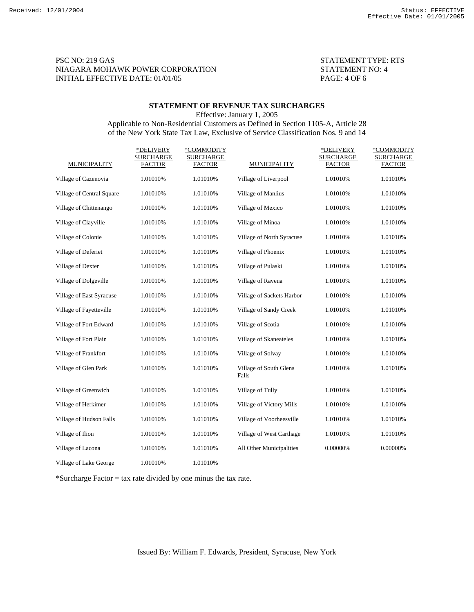# PSC NO: 219 GAS STATEMENT TYPE: RTS NIAGARA MOHAWK POWER CORPORATION STATEMENT NO: 4 INITIAL EFFECTIVE DATE: 01/01/05 PAGE: 4 OF 6

### **STATEMENT OF REVENUE TAX SURCHARGES**

Effective: January 1, 2005

# Applicable to Non-Residential Customers as Defined in Section 1105-A, Article 28 of the New York State Tax Law, Exclusive of Service Classification Nos. 9 and 14

|                           | *DELIVERY<br><b>SURCHARGE</b> | *COMMODITY<br>SURCHARGE |                                 | *DELIVERY<br>SURCHARGE | *COMMODITY<br><b>SURCHARGE</b> |
|---------------------------|-------------------------------|-------------------------|---------------------------------|------------------------|--------------------------------|
| <b>MUNICIPALITY</b>       | <b>FACTOR</b>                 | <b>FACTOR</b>           | <b>MUNICIPALITY</b>             | <b>FACTOR</b>          | <b>FACTOR</b>                  |
| Village of Cazenovia      | 1.01010%                      | 1.01010%                | Village of Liverpool            | 1.01010%               | 1.01010%                       |
| Village of Central Square | 1.01010%                      | 1.01010%                | Village of Manlius              | 1.01010%               | 1.01010%                       |
| Village of Chittenango    | 1.01010%                      | 1.01010%                | Village of Mexico               | 1.01010%               | 1.01010%                       |
| Village of Clayville      | 1.01010%                      | 1.01010%                | Village of Minoa                | 1.01010%               | 1.01010%                       |
| Village of Colonie        | 1.01010%                      | 1.01010%                | Village of North Syracuse       | 1.01010%               | 1.01010%                       |
| Village of Deferiet       | 1.01010%                      | 1.01010%                | Village of Phoenix              | 1.01010%               | 1.01010%                       |
| Village of Dexter         | 1.01010%                      | 1.01010%                | Village of Pulaski              | 1.01010%               | 1.01010%                       |
| Village of Dolgeville     | 1.01010%                      | 1.01010%                | Village of Ravena               | 1.01010%               | 1.01010%                       |
| Village of East Syracuse  | 1.01010%                      | 1.01010%                | Village of Sackets Harbor       | 1.01010%               | 1.01010%                       |
| Village of Fayetteville   | 1.01010%                      | 1.01010%                | Village of Sandy Creek          | 1.01010%               | 1.01010%                       |
| Village of Fort Edward    | 1.01010%                      | 1.01010%                | Village of Scotia               | 1.01010%               | 1.01010%                       |
| Village of Fort Plain     | 1.01010%                      | 1.01010%                | Village of Skaneateles          | 1.01010%               | 1.01010%                       |
| Village of Frankfort      | 1.01010%                      | 1.01010%                | Village of Solvay               | 1.01010%               | 1.01010%                       |
| Village of Glen Park      | 1.01010%                      | 1.01010%                | Village of South Glens<br>Falls | 1.01010%               | 1.01010%                       |
| Village of Greenwich      | 1.01010%                      | 1.01010%                | Village of Tully                | 1.01010%               | 1.01010%                       |
| Village of Herkimer       | 1.01010%                      | 1.01010%                | Village of Victory Mills        | 1.01010%               | 1.01010%                       |
| Village of Hudson Falls   | 1.01010%                      | 1.01010%                | Village of Voorheesville        | 1.01010%               | 1.01010%                       |
| Village of Ilion          | 1.01010%                      | 1.01010%                | Village of West Carthage        | 1.01010%               | 1.01010%                       |
| Village of Lacona         | 1.01010%                      | 1.01010%                | All Other Municipalities        | 0.00000%               | 0.00000%                       |
| Village of Lake George    | 1.01010%                      | 1.01010%                |                                 |                        |                                |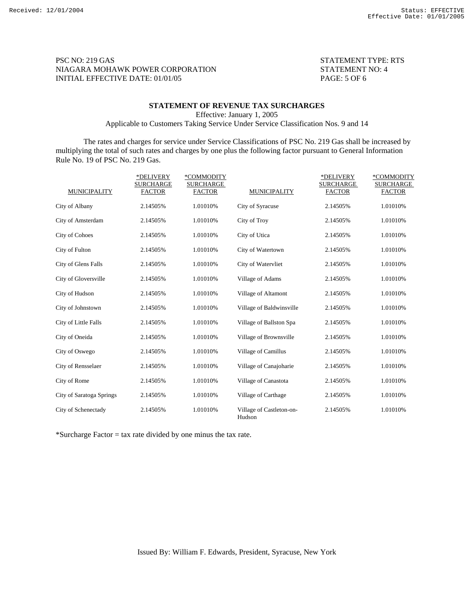PSC NO: 219 GAS STATEMENT TYPE: RTS NIAGARA MOHAWK POWER CORPORATION STATEMENT NO: 4 INITIAL EFFECTIVE DATE: 01/01/05 PAGE: 5 OF 6

## **STATEMENT OF REVENUE TAX SURCHARGES**

Effective: January 1, 2005

Applicable to Customers Taking Service Under Service Classification Nos. 9 and 14

 The rates and charges for service under Service Classifications of PSC No. 219 Gas shall be increased by multiplying the total of such rates and charges by one plus the following factor pursuant to General Information Rule No. 19 of PSC No. 219 Gas.

|                          | *DELIVERY<br><b>SURCHARGE</b> | *COMMODITY<br><b>SURCHARGE</b> |                                    | *DELIVERY<br><b>SURCHARGE</b> | *COMMODITY<br><b>SURCHARGE</b> |
|--------------------------|-------------------------------|--------------------------------|------------------------------------|-------------------------------|--------------------------------|
| <b>MUNICIPALITY</b>      | <b>FACTOR</b>                 | <b>FACTOR</b>                  | <b>MUNICIPALITY</b>                | <b>FACTOR</b>                 | <b>FACTOR</b>                  |
| City of Albany           | 2.14505%                      | 1.01010%                       | City of Syracuse                   | 2.14505%                      | 1.01010%                       |
| City of Amsterdam        | 2.14505%                      | 1.01010%                       | City of Troy                       | 2.14505%                      | 1.01010%                       |
| <b>City of Cohoes</b>    | 2.14505%                      | 1.01010%                       | City of Utica                      | 2.14505%                      | 1.01010%                       |
| City of Fulton           | 2.14505%                      | 1.01010%                       | City of Watertown                  | 2.14505%                      | 1.01010%                       |
| City of Glens Falls      | 2.14505%                      | 1.01010%                       | City of Watervliet                 | 2.14505%                      | 1.01010%                       |
| City of Gloversville     | 2.14505%                      | 1.01010%                       | Village of Adams                   | 2.14505%                      | 1.01010%                       |
| City of Hudson           | 2.14505%                      | 1.01010%                       | Village of Altamont                | 2.14505%                      | 1.01010%                       |
| City of Johnstown        | 2.14505%                      | 1.01010%                       | Village of Baldwinsville           | 2.14505%                      | 1.01010%                       |
| City of Little Falls     | 2.14505%                      | 1.01010%                       | Village of Ballston Spa            | 2.14505%                      | 1.01010%                       |
| City of Oneida           | 2.14505%                      | 1.01010%                       | Village of Brownsville             | 2.14505%                      | 1.01010%                       |
| City of Oswego           | 2.14505%                      | 1.01010%                       | Village of Camillus                | 2.14505%                      | 1.01010%                       |
| City of Rensselaer       | 2.14505%                      | 1.01010%                       | Village of Canajoharie             | 2.14505%                      | 1.01010%                       |
| City of Rome             | 2.14505%                      | 1.01010%                       | Village of Canastota               | 2.14505%                      | 1.01010%                       |
| City of Saratoga Springs | 2.14505%                      | 1.01010%                       | Village of Carthage                | 2.14505%                      | 1.01010%                       |
| City of Schenectady      | 2.14505%                      | 1.01010%                       | Village of Castleton-on-<br>Hudson | 2.14505%                      | 1.01010%                       |